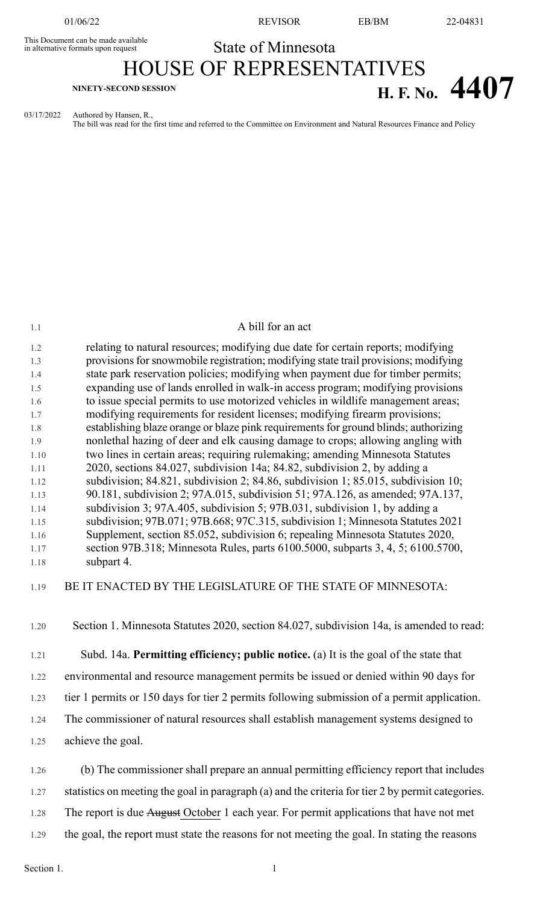in alternative formats upon request

01/06/22 REVISOR EB/BM 22-04831

# This Document can be made available<br>in alternative formats upon request<br>
State of Minnesota HOUSE OF REPRESENTATIVES **H. F. No. 4407**

03/17/2022 Authored by Hansen, R.,

The bill was read for the first time and referred to the Committee on Environment and Natural Resources Finance and Policy

| 1.2  | relating to natural resources; modifying due date for certain reports; modifying            |
|------|---------------------------------------------------------------------------------------------|
| 1.3  | provisions for snowmobile registration; modifying state trail provisions; modifying         |
| 1.4  | state park reservation policies; modifying when payment due for timber permits;             |
| 1.5  | expanding use of lands enrolled in walk-in access program; modifying provisions             |
| 1.6  | to issue special permits to use motorized vehicles in wildlife management areas;            |
| 1.7  | modifying requirements for resident licenses; modifying firearm provisions;                 |
| 1.8  | establishing blaze orange or blaze pink requirements for ground blinds; authorizing         |
| 1.9  | nonlethal hazing of deer and elk causing damage to crops; allowing angling with             |
| 1.10 | two lines in certain areas; requiring rulemaking; amending Minnesota Statutes               |
| 1.11 | 2020, sections 84.027, subdivision 14a; 84.82, subdivision 2, by adding a                   |
| 1.12 | subdivision; 84.821, subdivision 2; 84.86, subdivision 1; 85.015, subdivision 10;           |
| 1.13 | 90.181, subdivision 2; 97A.015, subdivision 51; 97A.126, as amended; 97A.137,               |
| 1.14 | subdivision 3; 97A.405, subdivision 5; 97B.031, subdivision 1, by adding a                  |
| 1.15 | subdivision; 97B.071; 97B.668; 97C.315, subdivision 1; Minnesota Statutes 2021              |
| 1.16 | Supplement, section 85.052, subdivision 6; repealing Minnesota Statutes 2020,               |
| 1.17 | section 97B.318; Minnesota Rules, parts 6100.5000, subparts 3, 4, 5; 6100.5700,             |
| 1.18 | subpart 4.                                                                                  |
| 1.19 | BE IT ENACTED BY THE LEGISLATURE OF THE STATE OF MINNESOTA:                                 |
| 1.20 | Section 1. Minnesota Statutes 2020, section 84.027, subdivision 14a, is amended to read:    |
| 1.21 | Subd. 14a. Permitting efficiency; public notice. (a) It is the goal of the state that       |
| 1.22 | environmental and resource management permits be issued or denied within 90 days for        |
| 1.23 | tier 1 permits or 150 days for tier 2 permits following submission of a permit application. |

1.1 A bill for an act

- 1.24 The commissioner of natural resources shall establish management systems designed to
- 1.25 achieve the goal.

1.26 (b) The commissioner shall prepare an annual permitting efficiency report that includes

1.27 statistics on meeting the goal in paragraph (a) and the criteria for tier 2 by permit categories.

- 1.28 The report is due August October 1 each year. For permit applications that have not met
- 1.29 the goal, the report must state the reasons for not meeting the goal. In stating the reasons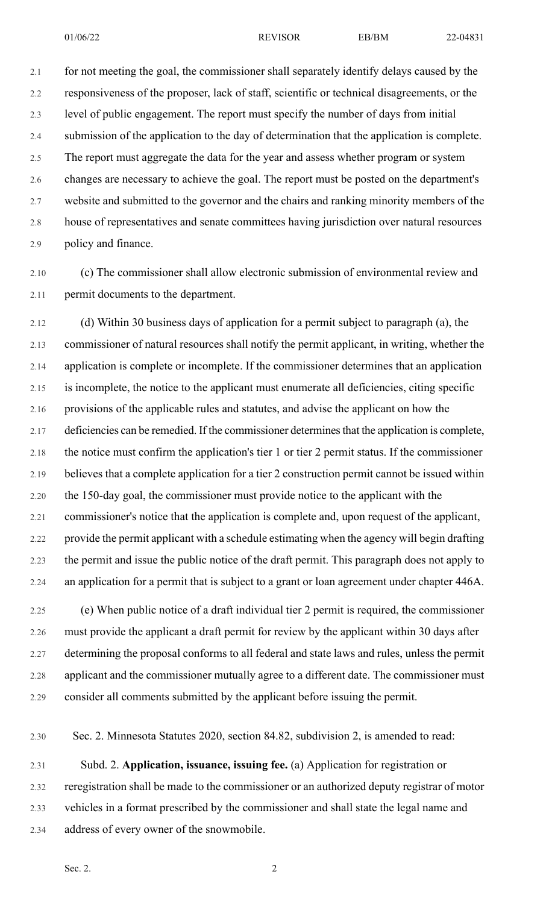2.1 for not meeting the goal, the commissioner shall separately identify delays caused by the 2.2 responsiveness of the proposer, lack of staff, scientific or technical disagreements, or the 2.3 level of public engagement. The report must specify the number of days from initial 2.4 submission of the application to the day of determination that the application is complete. 2.5 The report must aggregate the data for the year and assess whether program or system 2.6 changes are necessary to achieve the goal. The report must be posted on the department's 2.7 website and submitted to the governor and the chairs and ranking minority members of the 2.8 house of representatives and senate committees having jurisdiction over natural resources 2.9 policy and finance.

2.10 (c) The commissioner shall allow electronic submission of environmental review and 2.11 permit documents to the department.

2.12 (d) Within 30 business days of application for a permit subject to paragraph (a), the 2.13 commissioner of natural resources shall notify the permit applicant, in writing, whether the 2.14 application is complete or incomplete. If the commissioner determines that an application 2.15 is incomplete, the notice to the applicant must enumerate all deficiencies, citing specific 2.16 provisions of the applicable rules and statutes, and advise the applicant on how the 2.17 deficiencies can be remedied. If the commissioner determines that the application is complete, 2.18 the notice must confirm the application's tier 1 or tier 2 permit status. If the commissioner 2.19 believes that a complete application for a tier 2 construction permit cannot be issued within 2.20 the 150-day goal, the commissioner must provide notice to the applicant with the 2.21 commissioner's notice that the application is complete and, upon request of the applicant, 2.22 provide the permit applicant with a schedule estimating when the agency will begin drafting 2.23 the permit and issue the public notice of the draft permit. This paragraph does not apply to 2.24 an application for a permit that is subject to a grant or loan agreement under chapter 446A.

2.25 (e) When public notice of a draft individual tier 2 permit is required, the commissioner 2.26 must provide the applicant a draft permit for review by the applicant within 30 days after 2.27 determining the proposal conforms to all federal and state laws and rules, unless the permit 2.28 applicant and the commissioner mutually agree to a different date. The commissioner must 2.29 consider all comments submitted by the applicant before issuing the permit.

2.30 Sec. 2. Minnesota Statutes 2020, section 84.82, subdivision 2, is amended to read:

2.31 Subd. 2. **Application, issuance, issuing fee.** (a) Application for registration or 2.32 reregistration shall be made to the commissioner or an authorized deputy registrar of motor 2.33 vehicles in a format prescribed by the commissioner and shall state the legal name and 2.34 address of every owner of the snowmobile.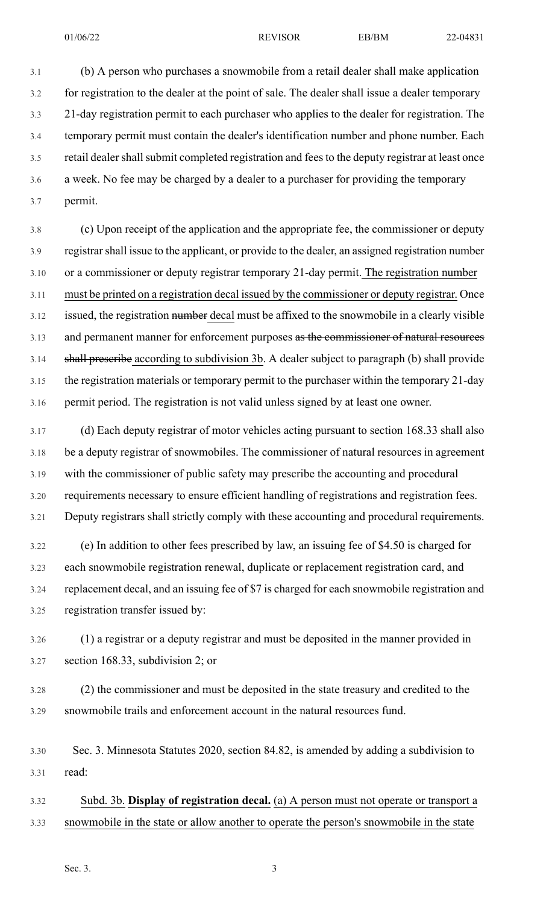01/06/22 REVISOR EB/BM 22-04831

3.1 (b) A person who purchases a snowmobile from a retail dealer shall make application 3.2 for registration to the dealer at the point of sale. The dealer shall issue a dealer temporary 3.3 21-day registration permit to each purchaser who applies to the dealer for registration. The 3.4 temporary permit must contain the dealer's identification number and phone number. Each 3.5 retail dealer shall submit completed registration and fees to the deputy registrar at least once 3.6 a week. No fee may be charged by a dealer to a purchaser for providing the temporary 3.7 permit.

3.8 (c) Upon receipt of the application and the appropriate fee, the commissioner or deputy 3.9 registrarshall issue to the applicant, or provide to the dealer, an assigned registration number 3.10 or a commissioner or deputy registrar temporary 21-day permit. The registration number 3.11 must be printed on a registration decal issued by the commissioner or deputy registrar. Once 3.12 issued, the registration number decal must be affixed to the snowmobile in a clearly visible 3.13 and permanent manner for enforcement purposes as the commissioner of natural resources 3.14 shall prescribe according to subdivision 3b. A dealer subject to paragraph (b) shall provide 3.15 the registration materials or temporary permit to the purchaser within the temporary 21-day 3.16 permit period. The registration is not valid unless signed by at least one owner.

3.17 (d) Each deputy registrar of motor vehicles acting pursuant to section 168.33 shall also 3.18 be a deputy registrar of snowmobiles. The commissioner of natural resources in agreement 3.19 with the commissioner of public safety may prescribe the accounting and procedural 3.20 requirements necessary to ensure efficient handling of registrations and registration fees. 3.21 Deputy registrars shall strictly comply with these accounting and procedural requirements.

3.22 (e) In addition to other fees prescribed by law, an issuing fee of \$4.50 is charged for 3.23 each snowmobile registration renewal, duplicate or replacement registration card, and 3.24 replacement decal, and an issuing fee of \$7 is charged for each snowmobile registration and 3.25 registration transfer issued by:

3.26 (1) a registrar or a deputy registrar and must be deposited in the manner provided in 3.27 section 168.33, subdivision 2; or

3.28 (2) the commissioner and must be deposited in the state treasury and credited to the 3.29 snowmobile trails and enforcement account in the natural resources fund.

3.30 Sec. 3. Minnesota Statutes 2020, section 84.82, is amended by adding a subdivision to 3.31 read:

3.32 Subd. 3b. **Display of registration decal.** (a) A person must not operate or transport a 3.33 snowmobile in the state or allow another to operate the person's snowmobile in the state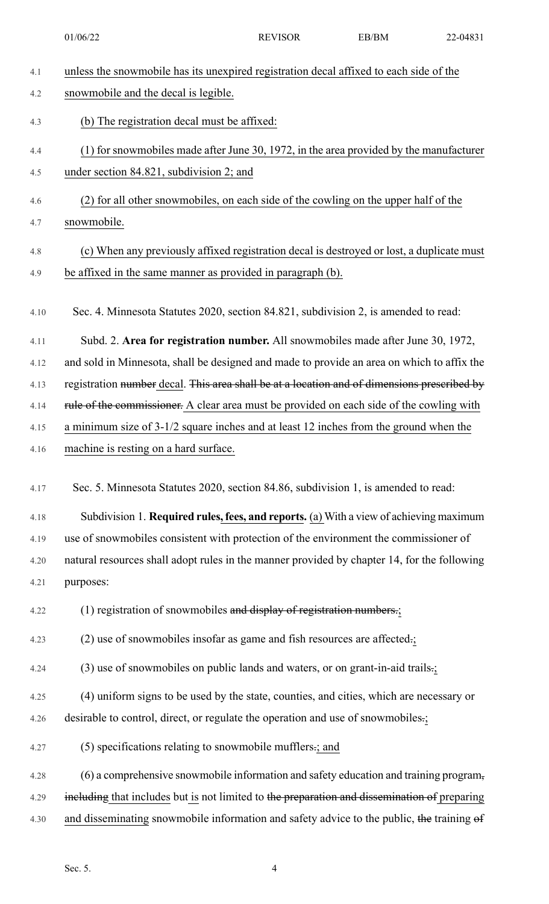4.1 unless the snowmobile has its unexpired registration decal affixed to each side of the 4.2 snowmobile and the decal is legible. 4.3 (b) The registration decal must be affixed: 4.4 (1) for snowmobiles made after June 30, 1972, in the area provided by the manufacturer 4.5 under section 84.821, subdivision 2; and 4.6 (2) for all other snowmobiles, on each side of the cowling on the upper half of the 4.7 snowmobile. 4.8 (c) When any previously affixed registration decal is destroyed or lost, a duplicate must 4.9 be affixed in the same manner as provided in paragraph (b). 4.10 Sec. 4. Minnesota Statutes 2020, section 84.821, subdivision 2, is amended to read: 4.11 Subd. 2. **Area for registration number.** All snowmobiles made after June 30, 1972, 4.12 and sold in Minnesota, shall be designed and made to provide an area on which to affix the 4.13 registration number decal. This area shall be at a location and of dimensions prescribed by 4.14 rule of the commissioner. A clear area must be provided on each side of the cowling with 4.15 a minimum size of 3-1/2 square inches and at least 12 inches from the ground when the 4.16 machine is resting on a hard surface. 4.17 Sec. 5. Minnesota Statutes 2020, section 84.86, subdivision 1, is amended to read: 4.18 Subdivision 1. **Required rules, fees, and reports.** (a) With a view of achieving maximum 4.19 use of snowmobiles consistent with protection of the environment the commissioner of 4.20 natural resources shall adopt rules in the manner provided by chapter 14, for the following 4.21 purposes: 4.22 (1) registration of snowmobiles and display of registration numbers.; 4.23 (2) use of snowmobiles insofar as game and fish resources are affected.; 4.24 (3) use of snowmobiles on public lands and waters, or on grant-in-aid trails.; 4.25 (4) uniform signs to be used by the state, counties, and cities, which are necessary or 4.26 desirable to control, direct, or regulate the operation and use of snowmobiles.; 4.27 (5) specifications relating to snowmobile mufflers.; and 4.28 (6) a comprehensive snowmobile information and safety education and training program, 4.29 including that includes but is not limited to the preparation and dissemination of preparing 4.30 and disseminating snowmobile information and safety advice to the public, the training of 01/06/22 REVISOR EB/BM 22-04831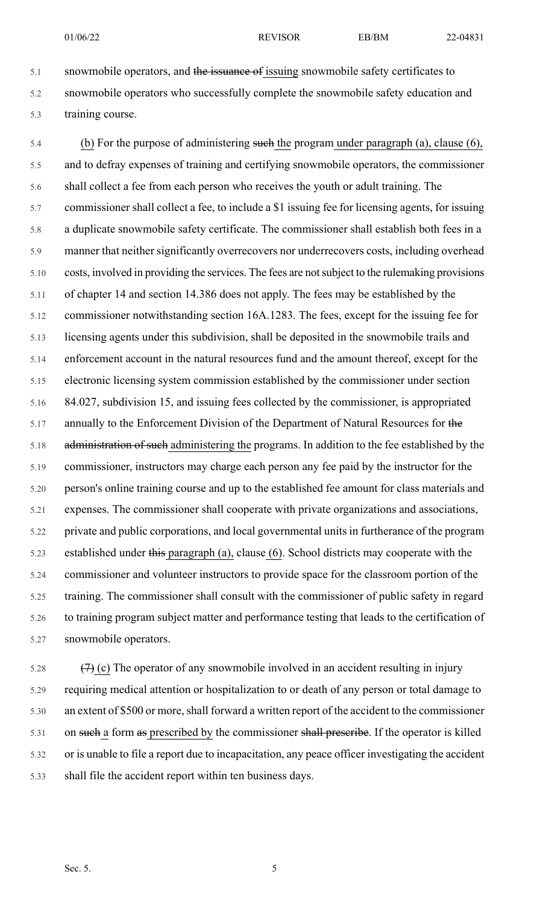5.1 snowmobile operators, and the issuance of issuing snowmobile safety certificates to 5.2 snowmobile operators who successfully complete the snowmobile safety education and 5.3 training course.

5.4 (b) For the purpose of administering such the program under paragraph (a), clause (6), 5.5 and to defray expenses of training and certifying snowmobile operators, the commissioner 5.6 shall collect a fee from each person who receives the youth or adult training. The 5.7 commissioner shall collect a fee, to include a \$1 issuing fee for licensing agents, for issuing 5.8 a duplicate snowmobile safety certificate. The commissioner shall establish both fees in a 5.9 manner that neither significantly overrecovers nor underrecovers costs, including overhead 5.10 costs, involved in providing the services. The fees are notsubject to the rulemaking provisions 5.11 of chapter 14 and section 14.386 does not apply. The fees may be established by the 5.12 commissioner notwithstanding section 16A.1283. The fees, except for the issuing fee for 5.13 licensing agents under this subdivision, shall be deposited in the snowmobile trails and 5.14 enforcement account in the natural resources fund and the amount thereof, except for the 5.15 electronic licensing system commission established by the commissioner under section 5.16 84.027, subdivision 15, and issuing fees collected by the commissioner, is appropriated 5.17 annually to the Enforcement Division of the Department of Natural Resources for the 5.18 administration of such administering the programs. In addition to the fee established by the 5.19 commissioner, instructors may charge each person any fee paid by the instructor for the 5.20 person's online training course and up to the established fee amount for class materials and 5.21 expenses. The commissioner shall cooperate with private organizations and associations, 5.22 private and public corporations, and local governmental units in furtherance of the program 5.23 established under this paragraph (a), clause (6). School districts may cooperate with the 5.24 commissioner and volunteer instructors to provide space for the classroom portion of the 5.25 training. The commissioner shall consult with the commissioner of public safety in regard 5.26 to training program subject matter and performance testing that leads to the certification of 5.27 snowmobile operators.

5.28  $(7)$  (c) The operator of any snowmobile involved in an accident resulting in injury 5.29 requiring medical attention or hospitalization to or death of any person or total damage to 5.30 an extent of \$500 or more, shall forward a written report of the accident to the commissioner 5.31 on such a form as prescribed by the commissioner shall prescribe. If the operator is killed 5.32 or is unable to file a report due to incapacitation, any peace officer investigating the accident 5.33 shall file the accident report within ten business days.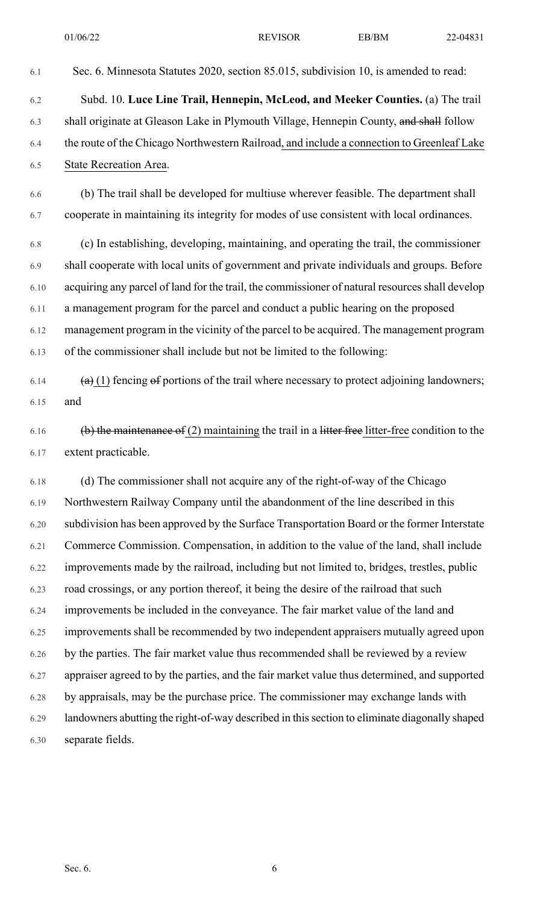6.2 Subd. 10. **Luce Line Trail, Hennepin, McLeod, and Meeker Counties.** (a) The trail 6.3 shall originate at Gleason Lake in Plymouth Village, Hennepin County, and shall follow 6.4 the route of the Chicago Northwestern Railroad, and include a connection to Greenleaf Lake 6.5 State Recreation Area.

6.1 Sec. 6. Minnesota Statutes 2020, section 85.015, subdivision 10, is amended to read:

6.6 (b) The trail shall be developed for multiuse wherever feasible. The department shall 6.7 cooperate in maintaining its integrity for modes of use consistent with local ordinances.

6.8 (c) In establishing, developing, maintaining, and operating the trail, the commissioner 6.9 shall cooperate with local units of government and private individuals and groups. Before 6.10 acquiring any parcel of land for the trail, the commissioner of natural resourcesshall develop 6.11 a management program for the parcel and conduct a public hearing on the proposed 6.12 management program in the vicinity of the parcel to be acquired. The management program 6.13 of the commissioner shall include but not be limited to the following:

- 6.14  $\left(\mathbf{a}\right)$  (1) fencing  $\mathbf{e}\mathbf{f}$  portions of the trail where necessary to protect adjoining landowners; 6.15 and
- 6.16 (b) the maintenance of (2) maintaining the trail in a litter free litter-free condition to the 6.17 extent practicable.

6.18 (d) The commissioner shall not acquire any of the right-of-way of the Chicago 6.19 Northwestern Railway Company until the abandonment of the line described in this 6.20 subdivision has been approved by the Surface Transportation Board or the former Interstate 6.21 Commerce Commission. Compensation, in addition to the value of the land, shall include 6.22 improvements made by the railroad, including but not limited to, bridges, trestles, public 6.23 road crossings, or any portion thereof, it being the desire of the railroad that such 6.24 improvements be included in the conveyance. The fair market value of the land and 6.25 improvements shall be recommended by two independent appraisers mutually agreed upon 6.26 by the parties. The fair market value thus recommended shall be reviewed by a review 6.27 appraiser agreed to by the parties, and the fair market value thus determined, and supported 6.28 by appraisals, may be the purchase price. The commissioner may exchange lands with 6.29 landowners abutting the right-of-way described in this section to eliminate diagonally shaped 6.30 separate fields.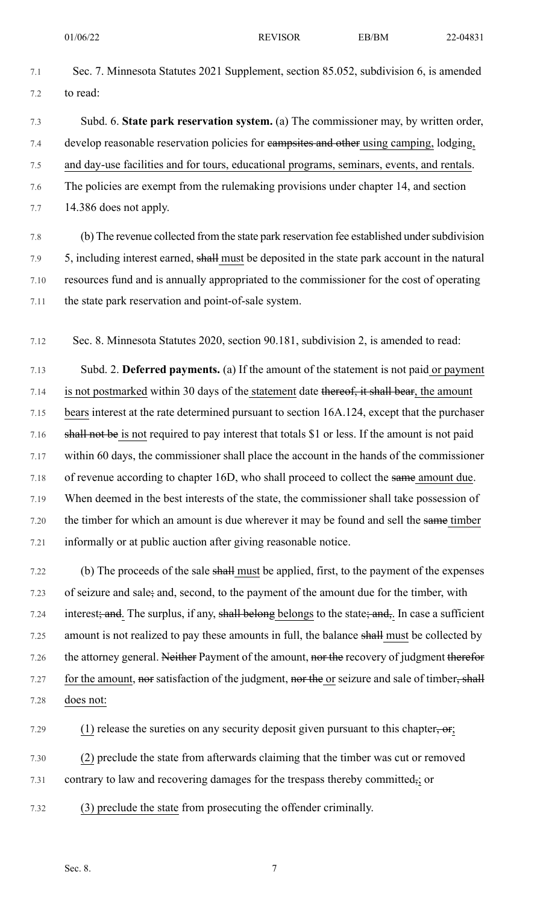- 7.1 Sec. 7. Minnesota Statutes 2021 Supplement, section 85.052, subdivision 6, is amended 7.2 to read:
- 7.3 Subd. 6. **State park reservation system.** (a) The commissioner may, by written order, 7.4 develop reasonable reservation policies for campsites and other using camping, lodging, 7.5 and day-use facilities and for tours, educational programs, seminars, events, and rentals. 7.6 The policies are exempt from the rulemaking provisions under chapter 14, and section 7.7 14.386 does not apply.

7.8 (b) The revenue collected from the state park reservation fee established under subdivision 7.9 5, including interest earned, shall must be deposited in the state park account in the natural 7.10 resources fund and is annually appropriated to the commissioner for the cost of operating 7.11 the state park reservation and point-of-sale system.

7.12 Sec. 8. Minnesota Statutes 2020, section 90.181, subdivision 2, is amended to read:

7.13 Subd. 2. **Deferred payments.** (a) If the amount of the statement is not paid or payment 7.14 is not postmarked within 30 days of the statement date thereof, it shall bear, the amount 7.15 bears interest at the rate determined pursuant to section 16A.124, except that the purchaser 7.16 shall not be is not required to pay interest that totals \$1 or less. If the amount is not paid 7.17 within 60 days, the commissioner shall place the account in the hands of the commissioner 7.18 of revenue according to chapter 16D, who shall proceed to collect the same amount due. 7.19 When deemed in the best interests of the state, the commissioner shall take possession of 7.20 the timber for which an amount is due wherever it may be found and sell the same timber 7.21 informally or at public auction after giving reasonable notice.

7.22 (b) The proceeds of the sale shall must be applied, first, to the payment of the expenses 7.23 of seizure and sale; and, second, to the payment of the amount due for the timber, with 7.24 interest; and. The surplus, if any, shall belong belongs to the state; and,. In case a sufficient 7.25 amount is not realized to pay these amounts in full, the balance shall must be collected by 7.26 the attorney general. Neither Payment of the amount, nor the recovery of judgment therefor 7.27 for the amount, nor satisfaction of the judgment, nor the or seizure and sale of timber, shall 7.28 does not:

7.29 (1) release the sureties on any security deposit given pursuant to this chapter, or;

7.30 (2) preclude the state from afterwards claiming that the timber was cut or removed 7.31 contrary to law and recovering damages for the trespass thereby committed<sub>7</sub>; or

7.32 (3) preclude the state from prosecuting the offender criminally.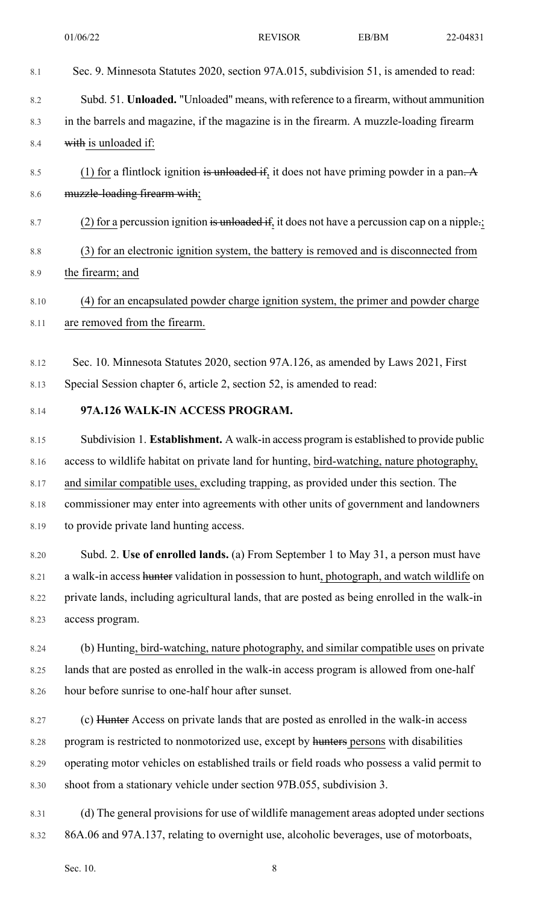| 8.1  | Sec. 9. Minnesota Statutes 2020, section 97A.015, subdivision 51, is amended to read:         |
|------|-----------------------------------------------------------------------------------------------|
| 8.2  | Subd. 51. Unloaded. "Unloaded" means, with reference to a firearm, without ammunition         |
| 8.3  | in the barrels and magazine, if the magazine is in the firearm. A muzzle-loading firearm      |
| 8.4  | with is unloaded if:                                                                          |
| 8.5  | (1) for a flintlock ignition is unloaded if, it does not have priming powder in a pan. A      |
| 8.6  | muzzle-loading firearm with;                                                                  |
| 8.7  | (2) for a percussion ignition is unloaded if, it does not have a percussion cap on a nipple : |
| 8.8  | (3) for an electronic ignition system, the battery is removed and is disconnected from        |
| 8.9  | the firearm; and                                                                              |
| 8.10 | (4) for an encapsulated powder charge ignition system, the primer and powder charge           |
| 8.11 | are removed from the firearm.                                                                 |
| 8.12 | Sec. 10. Minnesota Statutes 2020, section 97A.126, as amended by Laws 2021, First             |
| 8.13 | Special Session chapter 6, article 2, section 52, is amended to read:                         |
| 8.14 | 97A.126 WALK-IN ACCESS PROGRAM.                                                               |
| 8.15 | Subdivision 1. Establishment. A walk-in access program is established to provide public       |
| 8.16 | access to wildlife habitat on private land for hunting, bird-watching, nature photography,    |
| 8.17 | and similar compatible uses, excluding trapping, as provided under this section. The          |
| 8.18 | commissioner may enter into agreements with other units of government and landowners          |
| 8.19 | to provide private land hunting access.                                                       |
| 8.20 | Subd. 2. Use of enrolled lands. (a) From September 1 to May 31, a person must have            |
| 8.21 | a walk-in access hunter validation in possession to hunt, photograph, and watch wildlife on   |
| 8.22 | private lands, including agricultural lands, that are posted as being enrolled in the walk-in |
| 8.23 | access program.                                                                               |
| 8.24 | (b) Hunting, bird-watching, nature photography, and similar compatible uses on private        |
| 8.25 | lands that are posted as enrolled in the walk-in access program is allowed from one-half      |
| 8.26 | hour before sunrise to one-half hour after sunset.                                            |
| 8.27 | (c) Hunter Access on private lands that are posted as enrolled in the walk-in access          |
| 8.28 | program is restricted to nonmotorized use, except by hunters persons with disabilities        |
| 8.29 | operating motor vehicles on established trails or field roads who possess a valid permit to   |
| 8.30 | shoot from a stationary vehicle under section 97B.055, subdivision 3.                         |
| 8.31 | (d) The general provisions for use of wildlife management areas adopted under sections        |

8.32 86A.06 and 97A.137, relating to overnight use, alcoholic beverages, use of motorboats,

Sec. 10. 8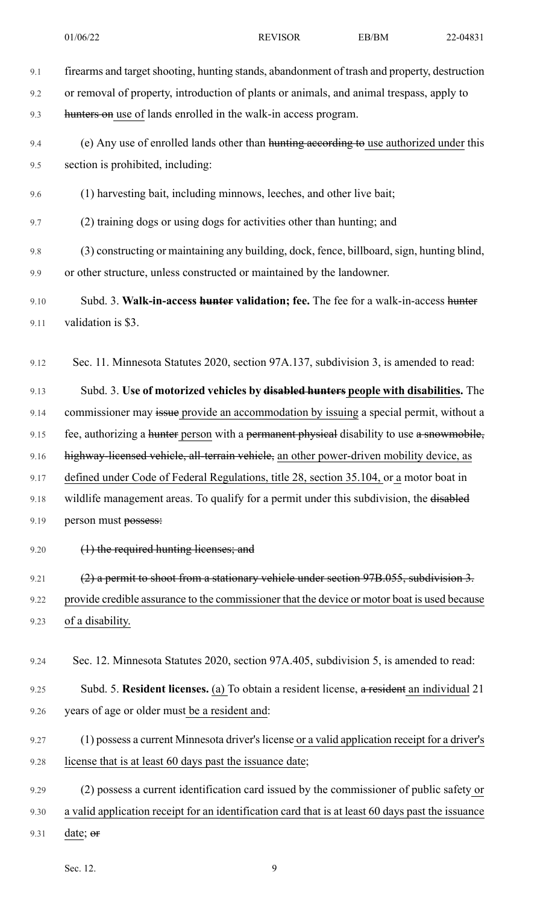9.1 firearms and target shooting, hunting stands, abandonment of trash and property, destruction 9.2 or removal of property, introduction of plants or animals, and animal trespass, apply to 9.3 hunters on use of lands enrolled in the walk-in access program. 9.4 (e) Any use of enrolled lands other than hunting according to use authorized under this 9.5 section is prohibited, including: 9.6 (1) harvesting bait, including minnows, leeches, and other live bait; 9.7 (2) training dogs or using dogs for activities other than hunting; and 9.8 (3) constructing or maintaining any building, dock, fence, billboard, sign, hunting blind, 9.9 or other structure, unless constructed or maintained by the landowner. 9.10 Subd. 3. **Walk-in-access hunter validation; fee.** The fee for a walk-in-access hunter 9.11 validation is \$3. 9.12 Sec. 11. Minnesota Statutes 2020, section 97A.137, subdivision 3, is amended to read: 9.13 Subd. 3. **Use of motorized vehicles by disabled hunters people with disabilities.** The 9.14 commissioner may issue provide an accommodation by issuing a special permit, without a 9.15 fee, authorizing a hunter person with a permanent physical disability to use a snowmobile, 9.16 highway-licensed vehicle, all-terrain vehicle, an other power-driven mobility device, as 9.17 defined under Code of Federal Regulations, title 28, section 35.104, or a motor boat in 9.18 wildlife management areas. To qualify for a permit under this subdivision, the disabled 9.19 person must possess: 9.20 (1) the required hunting licenses; and 9.21 (2) a permit to shoot from a stationary vehicle under section 97B.055, subdivision 3. 9.22 provide credible assurance to the commissioner that the device or motor boat is used because 9.23 of a disability. 9.24 Sec. 12. Minnesota Statutes 2020, section 97A.405, subdivision 5, is amended to read: 9.25 Subd. 5. **Resident licenses.** (a) To obtain a resident license, a resident an individual 21 9.26 years of age or older must be a resident and: 9.27 (1) possess a current Minnesota driver's license or a valid application receipt for a driver's 9.28 license that is at least 60 days past the issuance date; 9.29 (2) possess a current identification card issued by the commissioner of public safety or 9.30 a valid application receipt for an identification card that is at least 60 days past the issuance

9.31 date; or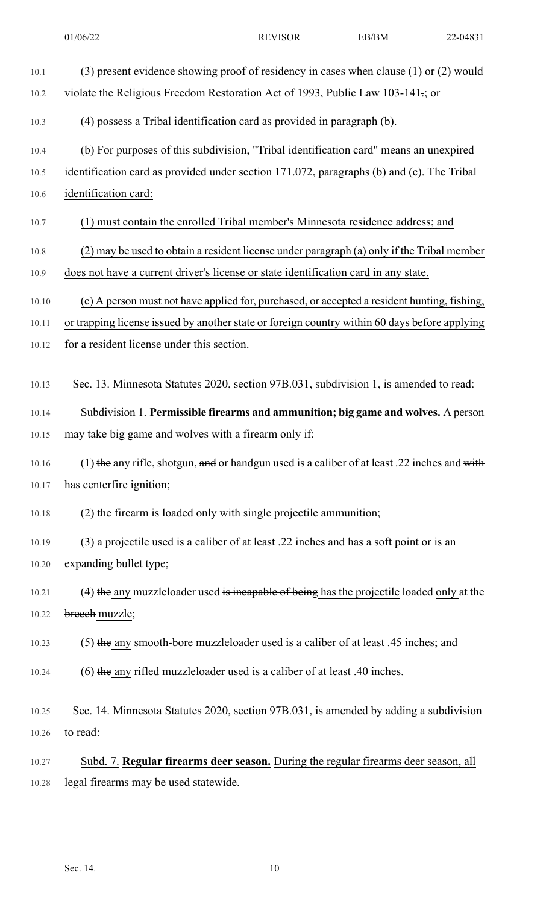| $10.1\,$ | (3) present evidence showing proof of residency in cases when clause (1) or (2) would         |
|----------|-----------------------------------------------------------------------------------------------|
| $10.2\,$ | violate the Religious Freedom Restoration Act of 1993, Public Law 103-141-; or                |
| 10.3     | (4) possess a Tribal identification card as provided in paragraph (b).                        |
| 10.4     | (b) For purposes of this subdivision, "Tribal identification card" means an unexpired         |
| 10.5     | identification card as provided under section 171.072, paragraphs (b) and (c). The Tribal     |
| $10.6\,$ | identification card:                                                                          |
| 10.7     | (1) must contain the enrolled Tribal member's Minnesota residence address; and                |
| 10.8     | (2) may be used to obtain a resident license under paragraph (a) only if the Tribal member    |
| 10.9     | does not have a current driver's license or state identification card in any state.           |
| 10.10    | (c) A person must not have applied for, purchased, or accepted a resident hunting, fishing,   |
| 10.11    | or trapping license issued by another state or foreign country within 60 days before applying |
| 10.12    | for a resident license under this section.                                                    |
| 10.13    | Sec. 13. Minnesota Statutes 2020, section 97B.031, subdivision 1, is amended to read:         |
| 10.14    | Subdivision 1. Permissible firearms and ammunition; big game and wolves. A person             |
| 10.15    | may take big game and wolves with a firearm only if:                                          |
| 10.16    | (1) the any rifle, shotgun, and or handgun used is a caliber of at least .22 inches and with  |
| 10.17    | has centerfire ignition;                                                                      |
| 10.18    | (2) the firearm is loaded only with single projectile ammunition;                             |
| 10.19    | (3) a projectile used is a caliber of at least .22 inches and has a soft point or is an       |
| 10.20    | expanding bullet type;                                                                        |
| 10.21    | $(4)$ the any muzzleloader used is incapable of being has the projectile loaded only at the   |
| 10.22    | breech muzzle;                                                                                |
| 10.23    | $(5)$ the any smooth-bore muzzleloader used is a caliber of at least .45 inches; and          |
| 10.24    | $(6)$ the any rifled muzzleloader used is a caliber of at least .40 inches.                   |
| 10.25    | Sec. 14. Minnesota Statutes 2020, section 97B.031, is amended by adding a subdivision         |
| 10.26    | to read:                                                                                      |
| 10.27    | Subd. 7. Regular firearms deer season. During the regular firearms deer season, all           |
| 10.28    | legal firearms may be used statewide.                                                         |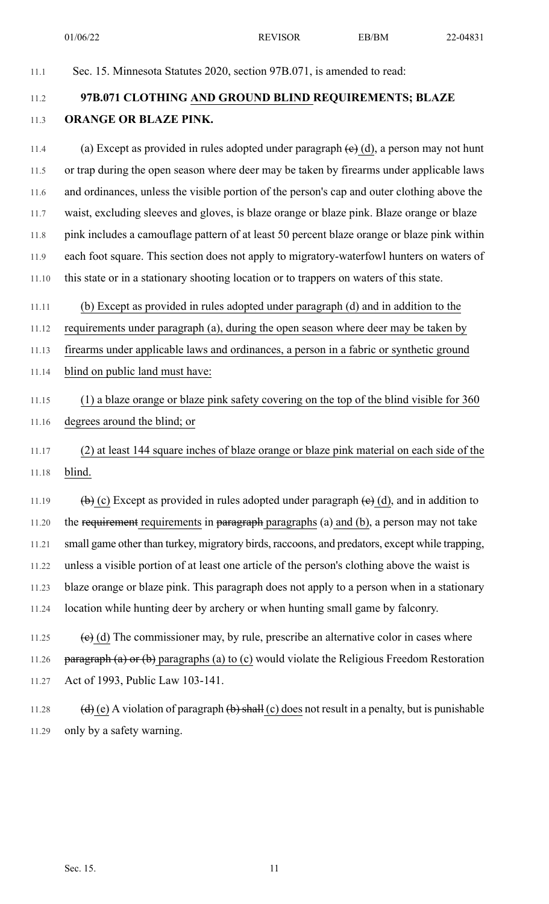01/06/22 REVISOR EB/BM 22-04831

| 11.1  | Sec. 15. Minnesota Statutes 2020, section 97B.071, is amended to read:                                                                       |  |  |  |
|-------|----------------------------------------------------------------------------------------------------------------------------------------------|--|--|--|
| 11.2  | 97B.071 CLOTHING AND GROUND BLIND REQUIREMENTS; BLAZE                                                                                        |  |  |  |
| 11.3  | ORANGE OR BLAZE PINK.                                                                                                                        |  |  |  |
| 11.4  | (a) Except as provided in rules adopted under paragraph $(e)$ (d), a person may not hunt                                                     |  |  |  |
| 11.5  | or trap during the open season where deer may be taken by firearms under applicable laws                                                     |  |  |  |
| 11.6  | and ordinances, unless the visible portion of the person's cap and outer clothing above the                                                  |  |  |  |
| 11.7  | waist, excluding sleeves and gloves, is blaze orange or blaze pink. Blaze orange or blaze                                                    |  |  |  |
| 11.8  | pink includes a camouflage pattern of at least 50 percent blaze orange or blaze pink within                                                  |  |  |  |
| 11.9  | each foot square. This section does not apply to migratory-waterfowl hunters on waters of                                                    |  |  |  |
| 11.10 | this state or in a stationary shooting location or to trappers on waters of this state.                                                      |  |  |  |
| 11.11 | (b) Except as provided in rules adopted under paragraph (d) and in addition to the                                                           |  |  |  |
| 11.12 | requirements under paragraph (a), during the open season where deer may be taken by                                                          |  |  |  |
| 11.13 | firearms under applicable laws and ordinances, a person in a fabric or synthetic ground                                                      |  |  |  |
| 11.14 | blind on public land must have:                                                                                                              |  |  |  |
| 11.15 | (1) a blaze orange or blaze pink safety covering on the top of the blind visible for 360                                                     |  |  |  |
| 11.16 | degrees around the blind; or                                                                                                                 |  |  |  |
| 11.17 | (2) at least 144 square inches of blaze orange or blaze pink material on each side of the                                                    |  |  |  |
| 11.18 | blind.                                                                                                                                       |  |  |  |
| 11.19 | $\overline{a}(b)$ (c) Except as provided in rules adopted under paragraph $\overline{a}(c)$ (d), and in addition to                          |  |  |  |
| 11.20 | the requirement requirements in paragraph paragraphs (a) and (b), a person may not take                                                      |  |  |  |
| 11.21 | small game other than turkey, migratory birds, raccoons, and predators, except while trapping,                                               |  |  |  |
| 11.22 | unless a visible portion of at least one article of the person's clothing above the waist is                                                 |  |  |  |
| 11.23 | blaze orange or blaze pink. This paragraph does not apply to a person when in a stationary                                                   |  |  |  |
| 11.24 | location while hunting deer by archery or when hunting small game by falconry.                                                               |  |  |  |
| 11.25 | $\left(\frac{e}{e}\right)$ (d) The commissioner may, by rule, prescribe an alternative color in cases where                                  |  |  |  |
| 11.26 | $\frac{\text{vargraph (a) or (b)}}{\text{vargraph}}$ paragraphs (a) to (c) would violate the Religious Freedom Restoration                   |  |  |  |
| 11.27 | Act of 1993, Public Law 103-141.                                                                                                             |  |  |  |
| 11.28 | $\left(\frac{d}{d}\right)$ (e) A violation of paragraph $\left(\frac{b}{b}\right)$ shall (c) does not result in a penalty, but is punishable |  |  |  |

11.29 only by a safety warning.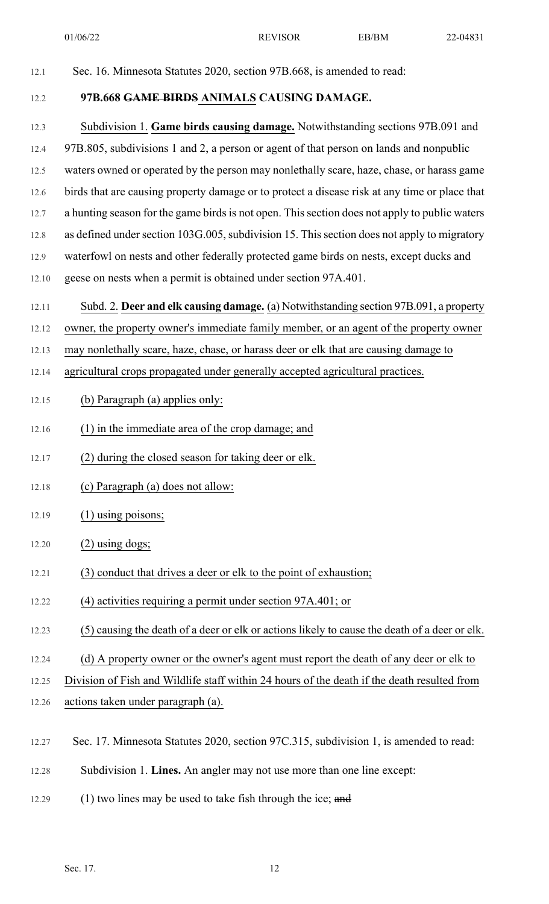12.1 Sec. 16. Minnesota Statutes 2020, section 97B.668, is amended to read: 12.2 **97B.668 GAME BIRDS ANIMALS CAUSING DAMAGE.** 12.3 Subdivision 1. **Game birds causing damage.** Notwithstanding sections 97B.091 and 12.4 97B.805, subdivisions 1 and 2, a person or agent of that person on lands and nonpublic 12.5 waters owned or operated by the person may nonlethally scare, haze, chase, or harass game 12.6 birds that are causing property damage or to protect a disease risk at any time or place that 12.7 a hunting season for the game birds is not open. This section does not apply to public waters 12.8 as defined under section 103G.005, subdivision 15. This section does not apply to migratory 12.9 waterfowl on nests and other federally protected game birds on nests, except ducks and 12.10 geese on nests when a permit is obtained under section 97A.401. 12.11 Subd. 2. **Deer and elk causing damage.** (a) Notwithstanding section 97B.091, a property 12.12 owner, the property owner's immediate family member, or an agent of the property owner 12.13 may nonlethally scare, haze, chase, or harass deer or elk that are causing damage to 12.14 agricultural crops propagated under generally accepted agricultural practices. 12.15 (b) Paragraph (a) applies only: 12.16 (1) in the immediate area of the crop damage; and 12.17 (2) during the closed season for taking deer or elk. 12.18 (c) Paragraph (a) does not allow: 12.19 (1) using poisons; 12.20 (2) using dogs; 12.21 (3) conduct that drives a deer or elk to the point of exhaustion; 12.22 (4) activities requiring a permit under section 97A.401; or 12.23 (5) causing the death of a deer or elk or actions likely to cause the death of a deer or elk. 12.24 (d) A property owner or the owner's agent must report the death of any deer or elk to 12.25 Division of Fish and Wildlife staff within 24 hours of the death if the death resulted from 12.26 actions taken under paragraph (a). 12.27 Sec. 17. Minnesota Statutes 2020, section 97C.315, subdivision 1, is amended to read: 12.28 Subdivision 1. **Lines.** An angler may not use more than one line except: 12.29 (1) two lines may be used to take fish through the ice; and 01/06/22 REVISOR EB/BM 22-04831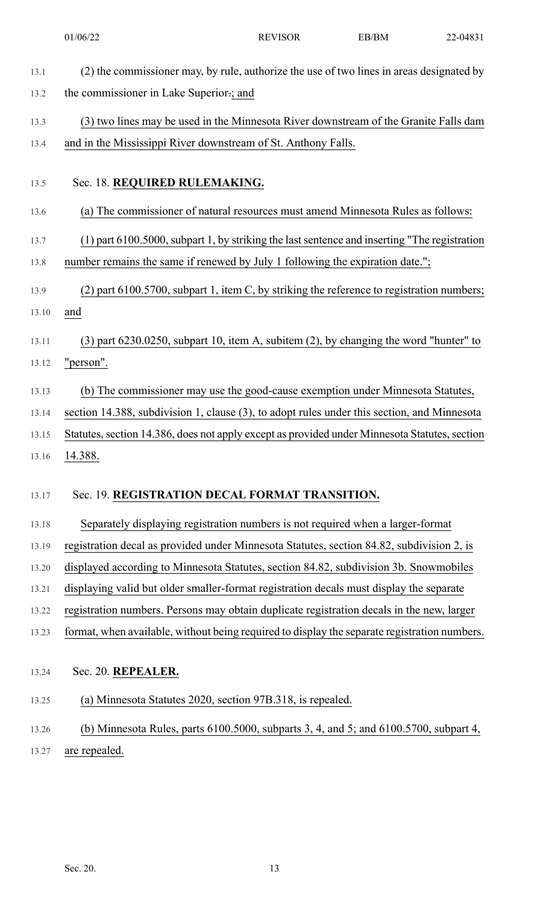|       | 01/06/22                                                                                      | <b>REVISOR</b> | EB/BM | 22-04831 |  |  |  |
|-------|-----------------------------------------------------------------------------------------------|----------------|-------|----------|--|--|--|
| 13.1  | (2) the commissioner may, by rule, authorize the use of two lines in areas designated by      |                |       |          |  |  |  |
| 13.2  | the commissioner in Lake Superior :; and                                                      |                |       |          |  |  |  |
| 13.3  | (3) two lines may be used in the Minnesota River downstream of the Granite Falls dam          |                |       |          |  |  |  |
| 13.4  | and in the Mississippi River downstream of St. Anthony Falls.                                 |                |       |          |  |  |  |
|       |                                                                                               |                |       |          |  |  |  |
| 13.5  | Sec. 18. REQUIRED RULEMAKING.                                                                 |                |       |          |  |  |  |
| 13.6  | (a) The commissioner of natural resources must amend Minnesota Rules as follows:              |                |       |          |  |  |  |
| 13.7  | (1) part 6100.5000, subpart 1, by striking the last sentence and inserting "The registration  |                |       |          |  |  |  |
| 13.8  | number remains the same if renewed by July 1 following the expiration date.";                 |                |       |          |  |  |  |
| 13.9  | $(2)$ part 6100.5700, subpart 1, item C, by striking the reference to registration numbers;   |                |       |          |  |  |  |
| 13.10 | and                                                                                           |                |       |          |  |  |  |
| 13.11 | $(3)$ part 6230.0250, subpart 10, item A, subitem $(2)$ , by changing the word "hunter" to    |                |       |          |  |  |  |
| 13.12 | "person".                                                                                     |                |       |          |  |  |  |
| 13.13 | (b) The commissioner may use the good-cause exemption under Minnesota Statutes,               |                |       |          |  |  |  |
| 13.14 | section 14.388, subdivision 1, clause (3), to adopt rules under this section, and Minnesota   |                |       |          |  |  |  |
| 13.15 | Statutes, section 14.386, does not apply except as provided under Minnesota Statutes, section |                |       |          |  |  |  |
| 13.16 | 14.388.                                                                                       |                |       |          |  |  |  |
| 13.17 | Sec. 19. REGISTRATION DECAL FORMAT TRANSITION.                                                |                |       |          |  |  |  |
| 13.18 | Separately displaying registration numbers is not required when a larger-format               |                |       |          |  |  |  |
| 13.19 | registration decal as provided under Minnesota Statutes, section 84.82, subdivision 2, is     |                |       |          |  |  |  |
| 13.20 | displayed according to Minnesota Statutes, section 84.82, subdivision 3b. Snowmobiles         |                |       |          |  |  |  |
| 13.21 | displaying valid but older smaller-format registration decals must display the separate       |                |       |          |  |  |  |
| 13.22 | registration numbers. Persons may obtain duplicate registration decals in the new, larger     |                |       |          |  |  |  |
| 13.23 | format, when available, without being required to display the separate registration numbers.  |                |       |          |  |  |  |
| 13.24 | Sec. 20. REPEALER.                                                                            |                |       |          |  |  |  |
| 13.25 | (a) Minnesota Statutes 2020, section 97B.318, is repealed.                                    |                |       |          |  |  |  |
| 13.26 | (b) Minnesota Rules, parts $6100.5000$ , subparts 3, 4, and 5; and $6100.5700$ , subpart 4,   |                |       |          |  |  |  |
| 13.27 | are repealed.                                                                                 |                |       |          |  |  |  |
|       |                                                                                               |                |       |          |  |  |  |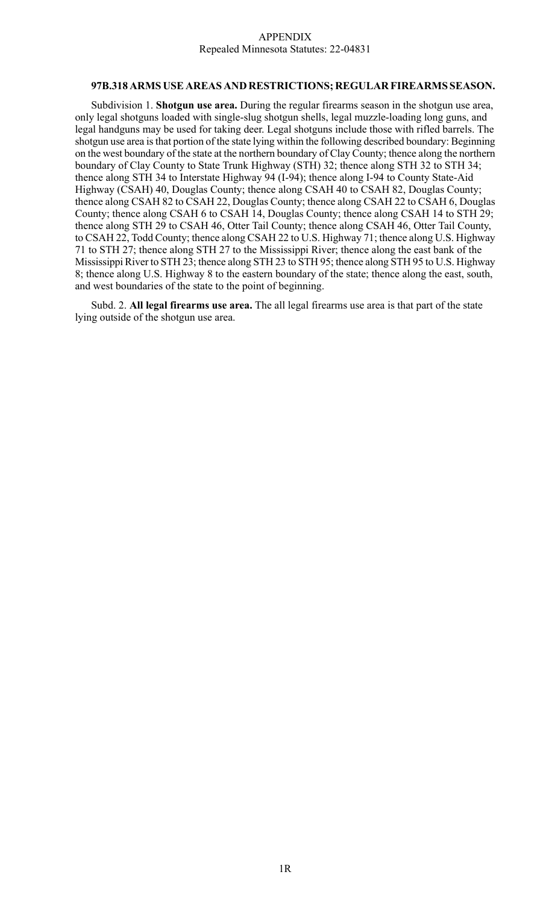## APPENDIX Repealed Minnesota Statutes: 22-04831

## **97B.318 ARMS USE AREAS AND RESTRICTIONS; REGULAR FIREARMS SEASON.**

Subdivision 1. **Shotgun use area.** During the regular firearms season in the shotgun use area, only legal shotguns loaded with single-slug shotgun shells, legal muzzle-loading long guns, and legal handguns may be used for taking deer. Legal shotguns include those with rifled barrels. The shotgun use area is that portion of the state lying within the following described boundary: Beginning on the west boundary of the state at the northern boundary of Clay County; thence along the northern boundary of Clay County to State Trunk Highway (STH) 32; thence along STH 32 to STH 34; thence along STH 34 to Interstate Highway 94 (I-94); thence along I-94 to County State-Aid Highway (CSAH) 40, Douglas County; thence along CSAH 40 to CSAH 82, Douglas County; thence along CSAH 82 to CSAH 22, Douglas County; thence along CSAH 22 to CSAH 6, Douglas County; thence along CSAH 6 to CSAH 14, Douglas County; thence along CSAH 14 to STH 29; thence along STH 29 to CSAH 46, Otter Tail County; thence along CSAH 46, Otter Tail County, to CSAH 22, Todd County; thence along CSAH 22 to U.S. Highway 71; thence along U.S. Highway 71 to STH 27; thence along STH 27 to the Mississippi River; thence along the east bank of the Mississippi River to STH 23; thence along STH 23 to STH 95; thence along STH 95 to U.S. Highway 8; thence along U.S. Highway 8 to the eastern boundary of the state; thence along the east, south, and west boundaries of the state to the point of beginning.

Subd. 2. **All legal firearms use area.** The all legal firearms use area is that part of the state lying outside of the shotgun use area.